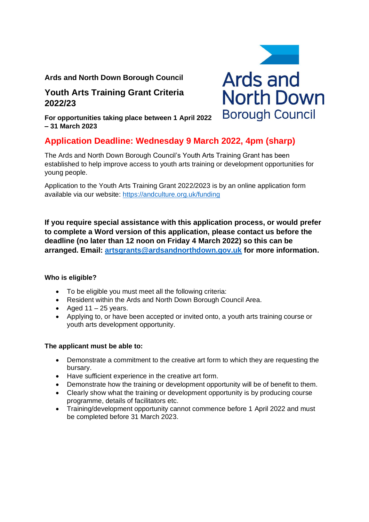## **Ards and North Down Borough Council**

# **Youth Arts Training Grant Criteria 2022/23**

**For opportunities taking place between 1 April 2022 – 31 March 2023**

# **Application Deadline: Wednesday 9 March 2022, 4pm (sharp)**

The Ards and North Down Borough Council's Youth Arts Training Grant has been established to help improve access to youth arts training or development opportunities for young people.

Application to the Youth Arts Training Grant 2022/2023 is by an online application form available via our website: <https://andculture.org.uk/funding>

**If you require special assistance with this application process, or would prefer to complete a Word version of this application, please contact us before the deadline (no later than 12 noon on Friday 4 March 2022) so this can be arranged. Email: [artsgrants@ardsandnorthdown.gov.uk](mailto:artsgrants@ardsandnorthdown.gov.uk) for more information.**

#### **Who is eligible?**

- To be eligible you must meet all the following criteria:
- Resident within the Ards and North Down Borough Council Area.
- Aged  $11 25$  years.
- Applying to, or have been accepted or invited onto, a youth arts training course or youth arts development opportunity.

#### **The applicant must be able to:**

- Demonstrate a commitment to the creative art form to which they are requesting the bursary.
- Have sufficient experience in the creative art form.
- Demonstrate how the training or development opportunity will be of benefit to them.
- Clearly show what the training or development opportunity is by producing course programme, details of facilitators etc.
- Training/development opportunity cannot commence before 1 April 2022 and must be completed before 31 March 2023.

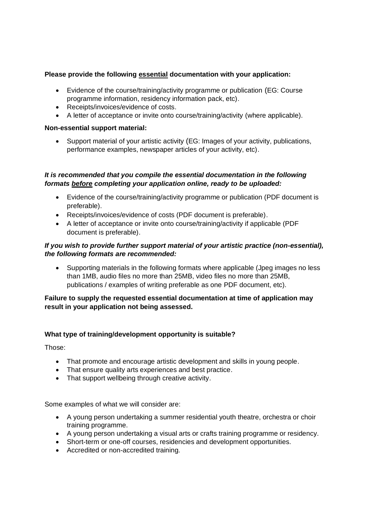## **Please provide the following essential documentation with your application:**

- Evidence of the course/training/activity programme or publication (EG: Course programme information, residency information pack, etc).
- Receipts/invoices/evidence of costs.
- A letter of acceptance or invite onto course/training/activity (where applicable).

#### **Non-essential support material:**

• Support material of your artistic activity (EG: Images of your activity, publications, performance examples, newspaper articles of your activity, etc).

## *It is recommended that you compile the essential documentation in the following formats before completing your application online, ready to be uploaded:*

- Evidence of the course/training/activity programme or publication (PDF document is preferable).
- Receipts/invoices/evidence of costs (PDF document is preferable).
- A letter of acceptance or invite onto course/training/activity if applicable (PDF document is preferable).

## *If you wish to provide further support material of your artistic practice (non-essential), the following formats are recommended:*

• Supporting materials in the following formats where applicable (Jpeg images no less than 1MB, audio files no more than 25MB, video files no more than 25MB, publications / examples of writing preferable as one PDF document, etc).

#### **Failure to supply the requested essential documentation at time of application may result in your application not being assessed.**

## **What type of training/development opportunity is suitable?**

Those:

- That promote and encourage artistic development and skills in young people.
- That ensure quality arts experiences and best practice.
- That support wellbeing through creative activity.

Some examples of what we will consider are:

- A young person undertaking a summer residential youth theatre, orchestra or choir training programme.
- A young person undertaking a visual arts or crafts training programme or residency.
- Short-term or one-off courses, residencies and development opportunities.
- Accredited or non-accredited training.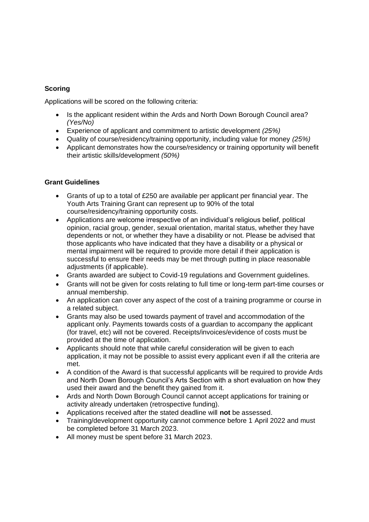## **Scoring**

Applications will be scored on the following criteria:

- Is the applicant resident within the Ards and North Down Borough Council area? *(Yes/No)*
- Experience of applicant and commitment to artistic development *(25%)*
- Quality of course/residency/training opportunity, including value for money *(25%)*
- Applicant demonstrates how the course/residency or training opportunity will benefit their artistic skills/development *(50%)*

#### **Grant Guidelines**

- Grants of up to a total of £250 are available per applicant per financial year. The Youth Arts Training Grant can represent up to 90% of the total course/residency/training opportunity costs.
- Applications are welcome irrespective of an individual's religious belief, political opinion, racial group, gender, sexual orientation, marital status, whether they have dependents or not, or whether they have a disability or not. Please be advised that those applicants who have indicated that they have a disability or a physical or mental impairment will be required to provide more detail if their application is successful to ensure their needs may be met through putting in place reasonable adjustments (if applicable).
- Grants awarded are subject to Covid-19 regulations and Government guidelines.
- Grants will not be given for costs relating to full time or long-term part-time courses or annual membership.
- An application can cover any aspect of the cost of a training programme or course in a related subject.
- Grants may also be used towards payment of travel and accommodation of the applicant only. Payments towards costs of a guardian to accompany the applicant (for travel, etc) will not be covered. Receipts/invoices/evidence of costs must be provided at the time of application.
- Applicants should note that while careful consideration will be given to each application, it may not be possible to assist every applicant even if all the criteria are met.
- A condition of the Award is that successful applicants will be required to provide Ards and North Down Borough Council's Arts Section with a short evaluation on how they used their award and the benefit they gained from it.
- Ards and North Down Borough Council cannot accept applications for training or activity already undertaken (retrospective funding).
- Applications received after the stated deadline will **not** be assessed.
- Training/development opportunity cannot commence before 1 April 2022 and must be completed before 31 March 2023.
- All money must be spent before 31 March 2023.